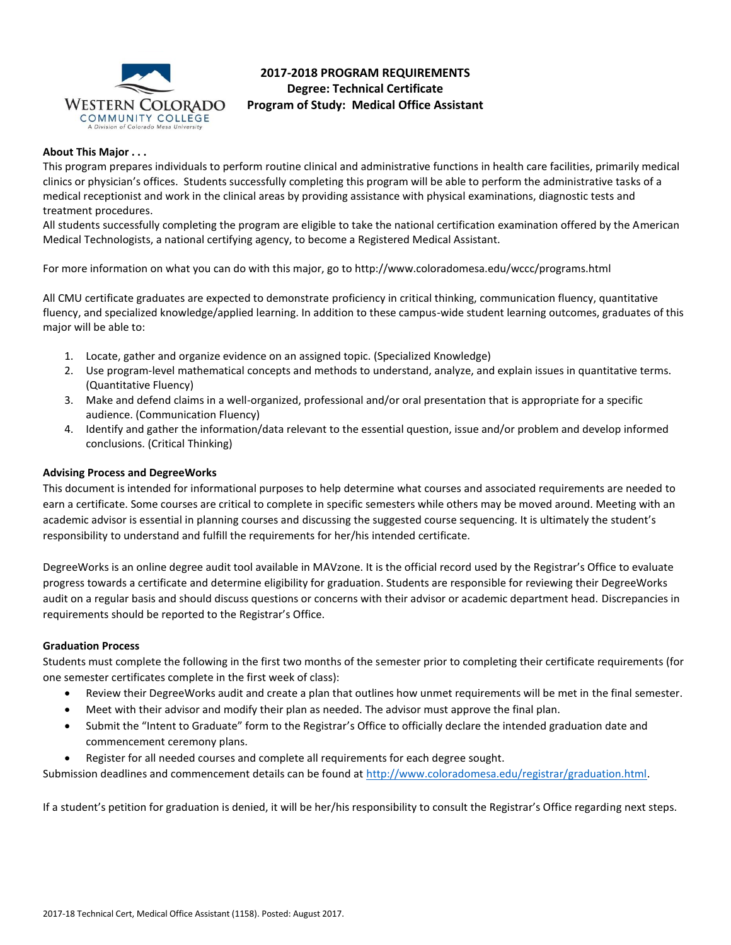

# **2017-2018 PROGRAM REQUIREMENTS Degree: Technical Certificate Program of Study: Medical Office Assistant**

### **About This Major . . .**

This program prepares individuals to perform routine clinical and administrative functions in health care facilities, primarily medical clinics or physician's offices. Students successfully completing this program will be able to perform the administrative tasks of a medical receptionist and work in the clinical areas by providing assistance with physical examinations, diagnostic tests and treatment procedures.

All students successfully completing the program are eligible to take the national certification examination offered by the American Medical Technologists, a national certifying agency, to become a Registered Medical Assistant.

For more information on what you can do with this major, go to http://www.coloradomesa.edu/wccc/programs.html

All CMU certificate graduates are expected to demonstrate proficiency in critical thinking, communication fluency, quantitative fluency, and specialized knowledge/applied learning. In addition to these campus-wide student learning outcomes, graduates of this major will be able to:

- 1. Locate, gather and organize evidence on an assigned topic. (Specialized Knowledge)
- 2. Use program-level mathematical concepts and methods to understand, analyze, and explain issues in quantitative terms. (Quantitative Fluency)
- 3. Make and defend claims in a well-organized, professional and/or oral presentation that is appropriate for a specific audience. (Communication Fluency)
- 4. Identify and gather the information/data relevant to the essential question, issue and/or problem and develop informed conclusions. (Critical Thinking)

### **Advising Process and DegreeWorks**

This document is intended for informational purposes to help determine what courses and associated requirements are needed to earn a certificate. Some courses are critical to complete in specific semesters while others may be moved around. Meeting with an academic advisor is essential in planning courses and discussing the suggested course sequencing. It is ultimately the student's responsibility to understand and fulfill the requirements for her/his intended certificate.

DegreeWorks is an online degree audit tool available in MAVzone. It is the official record used by the Registrar's Office to evaluate progress towards a certificate and determine eligibility for graduation. Students are responsible for reviewing their DegreeWorks audit on a regular basis and should discuss questions or concerns with their advisor or academic department head. Discrepancies in requirements should be reported to the Registrar's Office.

### **Graduation Process**

Students must complete the following in the first two months of the semester prior to completing their certificate requirements (for one semester certificates complete in the first week of class):

- Review their DegreeWorks audit and create a plan that outlines how unmet requirements will be met in the final semester.
- Meet with their advisor and modify their plan as needed. The advisor must approve the final plan.
- Submit the "Intent to Graduate" form to the Registrar's Office to officially declare the intended graduation date and commencement ceremony plans.
- Register for all needed courses and complete all requirements for each degree sought.

Submission deadlines and commencement details can be found at [http://www.coloradomesa.edu/registrar/graduation.html.](http://www.coloradomesa.edu/registrar/graduation.html)

If a student's petition for graduation is denied, it will be her/his responsibility to consult the Registrar's Office regarding next steps.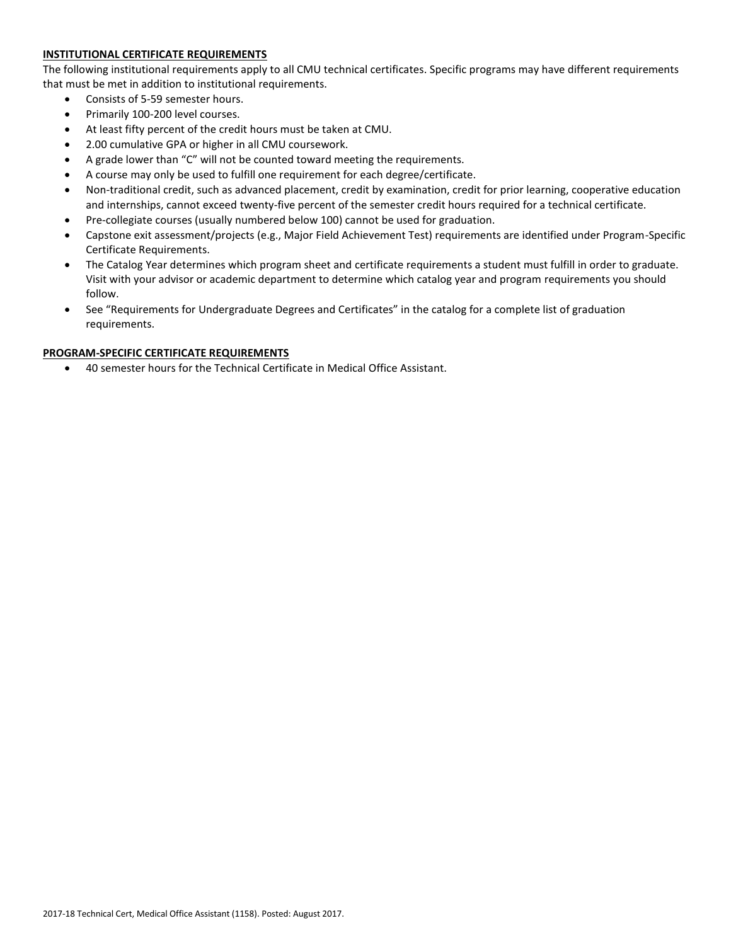## **INSTITUTIONAL CERTIFICATE REQUIREMENTS**

The following institutional requirements apply to all CMU technical certificates. Specific programs may have different requirements that must be met in addition to institutional requirements.

- Consists of 5-59 semester hours.
- Primarily 100-200 level courses.
- At least fifty percent of the credit hours must be taken at CMU.
- 2.00 cumulative GPA or higher in all CMU coursework.
- A grade lower than "C" will not be counted toward meeting the requirements.
- A course may only be used to fulfill one requirement for each degree/certificate.
- Non-traditional credit, such as advanced placement, credit by examination, credit for prior learning, cooperative education and internships, cannot exceed twenty-five percent of the semester credit hours required for a technical certificate.
- Pre-collegiate courses (usually numbered below 100) cannot be used for graduation.
- Capstone exit assessment/projects (e.g., Major Field Achievement Test) requirements are identified under Program-Specific Certificate Requirements.
- The Catalog Year determines which program sheet and certificate requirements a student must fulfill in order to graduate. Visit with your advisor or academic department to determine which catalog year and program requirements you should follow.
- See "Requirements for Undergraduate Degrees and Certificates" in the catalog for a complete list of graduation requirements.

### **PROGRAM-SPECIFIC CERTIFICATE REQUIREMENTS**

40 semester hours for the Technical Certificate in Medical Office Assistant.